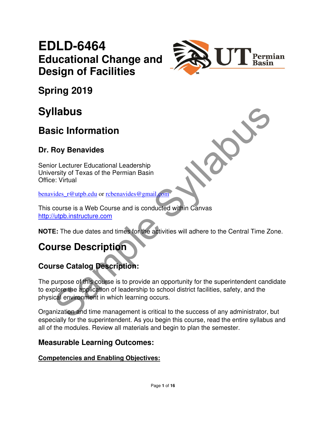# **EDLD-6464 Educational Change and Design of Facilities**



**Spring 2019** 

# **Syllabus**

## **Basic Information**

### **Dr. Roy Benavides**

Senior Lecturer Educational Leadership University of Texas of the Permian Basin Office: Virtual

benavides\_r@utpb.edu or rcbenavides@gmail.com

This course is a Web Course and is conducted within Canvas http://utpb.instructure.com

**NOTE:** The due dates and times for the activities will adhere to the Central Time Zone.

## **Course Description**

## **Course Catalog Description:**

**Consider the Constrainer Syllabus**<br>
Signal Constrainer Educational Leadership<br>
System of Texas of the Permian Basin<br>
Securities and the Permian Basin<br>
Securities and the Sylvan Care and is conducted within Canvas<br>
State S The purpose of this course is to provide an opportunity for the superintendent candidate to explore the application of leadership to school district facilities, safety, and the physical environment in which learning occurs.

Organization and time management is critical to the success of any administrator, but especially for the superintendent. As you begin this course, read the entire syllabus and all of the modules. Review all materials and begin to plan the semester.

#### **Measurable Learning Outcomes:**

#### **Competencies and Enabling Objectives:**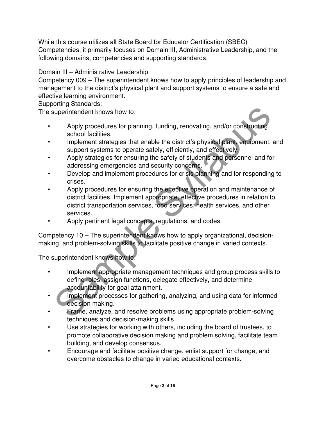While this course utilizes all State Board for Educator Certification (SBEC) Competencies, it primarily focuses on Domain III, Administrative Leadership, and the following domains, competencies and supporting standards:

Domain III – Administrative Leadership

Competency 009 – The superintendent knows how to apply principles of leadership and management to the district's physical plant and support systems to ensure a safe and effective learning environment.

Supporting Standards:

The superintendent knows how to:

- Apply procedures for planning, funding, renovating, and/or constructing school facilities.
- Implement strategies that enable the district's physical plant, equipment, and support systems to operate safely, efficiently, and effectively.
- Apply strategies for ensuring the safety of students and personnel and for addressing emergencies and security concerns.
- Develop and implement procedures for crisis planning and for responding to crises.
- superintendent knows how to:<br>
Apply procedures for planning, funding, renovating, and/or constructing<br>
school facilities.<br>
Implement strategies that enable the district's physical plant, engthment, are<br>
support systems to Apply procedures for ensuring the effective operation and maintenance of district facilities. Implement appropriate, effective procedures in relation to district transportation services, food services, health services, and other services.
- Apply pertinent legal concepts, regulations, and codes.

Competency 10 – The superintendent knows how to apply organizational, decisionmaking, and problem-solving skills to facilitate positive change in varied contexts.

The superintendent knows how to:

- Implement appropriate management techniques and group process skills to define roles, assign functions, delegate effectively, and determine accountability for goal attainment.
- Implement processes for gathering, analyzing, and using data for informed decision making.
- Frame, analyze, and resolve problems using appropriate problem-solving techniques and decision-making skills.
- Use strategies for working with others, including the board of trustees, to promote collaborative decision making and problem solving, facilitate team building, and develop consensus.
- Encourage and facilitate positive change, enlist support for change, and overcome obstacles to change in varied educational contexts.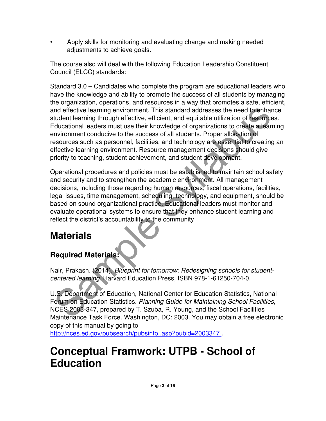• Apply skills for monitoring and evaluating change and making needed adjustments to achieve goals.

The course also will deal with the following Education Leadership Constituent Council (ELCC) standards:

Indeffective learning environment. This standard addresses the need to enhance the conductional learning through effective, efficient, and equitable utilization of tesources of conduction and equitable utilization of tesou Standard 3.0 – Candidates who complete the program are educational leaders who have the knowledge and ability to promote the success of all students by managing the organization, operations, and resources in a way that promotes a safe, efficient, and effective learning environment. This standard addresses the need to enhance student learning through effective, efficient, and equitable utilization of resources. Educational leaders must use their knowledge of organizations to create a learning environment conducive to the success of all students. Proper allocation of resources such as personnel, facilities, and technology are essential to creating an effective learning environment. Resource management decisions should give priority to teaching, student achievement, and student development.

Operational procedures and policies must be established to maintain school safety and security and to strengthen the academic environment. All management decisions, including those regarding human resources, fiscal operations, facilities, legal issues, time management, scheduling, technology, and equipment, should be based on sound organizational practice. Educational leaders must monitor and evaluate operational systems to ensure that they enhance student learning and reflect the district's accountability to the community

## **Materials**

## **Required Materials:**

Nair, Prakash. (2014). Blueprint for tomorrow: Redesigning schools for studentcentered learning. Harvard Education Press, ISBN 978-1-61250-704-0.

U.S. Department of Education, National Center for Education Statistics, National Forum on Education Statistics. Planning Guide for Maintaining School Facilities, NCES 2003-347, prepared by T. Szuba, R. Young, and the School Facilities Maintenance Task Force. Washington, DC: 2003. You may obtain a free electronic copy of this manual by going to

http://nces.ed.gov/pubsearch/pubsinfo..asp?pubid=2003347 .

# **Conceptual Framwork: UTPB - School of Education**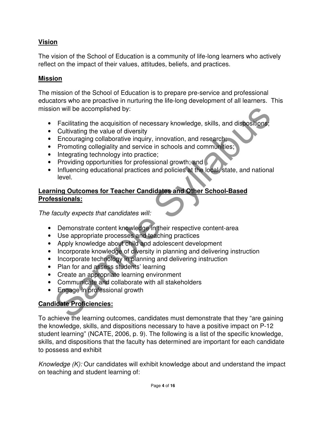#### **Vision**

The vision of the School of Education is a community of life-long learners who actively reflect on the impact of their values, attitudes, beliefs, and practices.

#### **Mission**

The mission of the School of Education is to prepare pre-service and professional educators who are proactive in nurturing the life-long development of all learners. This mission will be accomplished by:

- Facilitating the acquisition of necessary knowledge, skills, and dispositions;
- Cultivating the value of diversity
- Encouraging collaborative inquiry, innovation, and research;
- Promoting collegiality and service in schools and communities;
- Integrating technology into practice;
- Providing opportunities for professional growth; and
- on will be accomplished by:<br>
Facilitating the acquisition of necessary knowledge, skills, and dispositions,<br>
Cultivating the value of diversity, innovation, and research:<br>
Encouraging collaborative inquiry, innovation, and • Influencing educational practices and policies at the local, state, and national level.

#### **Learning Outcomes for Teacher Candidates and Other School-Based Professionals:**

The faculty expects that candidates will:

- Demonstrate content knowledge in their respective content-area
- Use appropriate processes and teaching practices
- Apply knowledge about child and adolescent development
- Incorporate knowledge of diversity in planning and delivering instruction
- Incorporate technology in planning and delivering instruction
- Plan for and assess students' learning
- Create an appropriate learning environment
- Communicate and collaborate with all stakeholders
- Engage in professional growth

#### **Candidate Proficiencies:**

To achieve the learning outcomes, candidates must demonstrate that they "are gaining the knowledge, skills, and dispositions necessary to have a positive impact on P-12 student learning" (NCATE, 2006, p. 9). The following is a list of the specific knowledge, skills, and dispositions that the faculty has determined are important for each candidate to possess and exhibit

Knowledge (K): Our candidates will exhibit knowledge about and understand the impact on teaching and student learning of: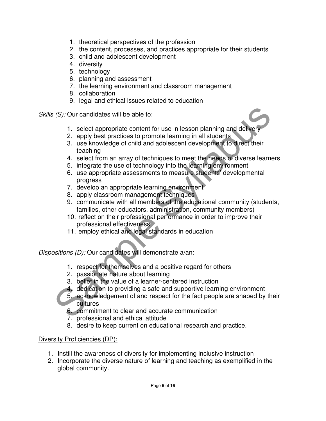- 1. theoretical perspectives of the profession
- 2. the content, processes, and practices appropriate for their students
- 3. child and adolescent development
- 4. diversity
- 5. technology
- 6. planning and assessment
- 7. the learning environment and classroom management
- 8. collaboration
- 9. legal and ethical issues related to education

Skills (S): Our candidates will be able to:

- 1. select appropriate content for use in lesson planning and delivery
- 2. apply best practices to promote learning in all students
- 3. use knowledge of child and adolescent development to direct their teaching
- 4. select from an array of techniques to meet the needs of diverse learners
- 5. integrate the use of technology into the learning environment
- 6. use appropriate assessments to measure students' developmental progress
- 7. develop an appropriate learning environment
- 8. apply classroom management techniques
- 9. communicate with all members of the educational community (students, families, other educators, administration, community members)
- 10. reflect on their professional performance in order to improve their professional effectiveness
- 11. employ ethical and legal standards in education

Dispositions (D): Our candidates will demonstrate a/an:

- 1. respect for themselves and a positive regard for others
- 2. passionate nature about learning
- 3. belief in the value of a learner-centered instruction
- 4. dedication to providing a safe and supportive learning environment
- (S): Our candidates will be able to:<br>
1. select appropriate content for use in lesson planning and delivery<br>
2. apply best practices to promote learning in all students<br>
3. use knowledge of child and adolescent developmen 5. acknowledgement of and respect for the fact people are shaped by their cultures
	- 6. commitment to clear and accurate communication
	- 7. professional and ethical attitude
	- 8. desire to keep current on educational research and practice.

#### Diversity Proficiencies (DP):

- 1. Instill the awareness of diversity for implementing inclusive instruction
- 2. Incorporate the diverse nature of learning and teaching as exemplified in the global community.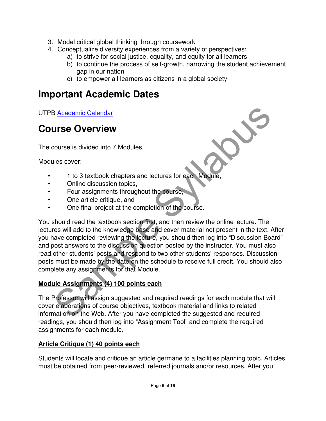- 3. Model critical global thinking through coursework
- 4. Conceptualize diversity experiences from a variety of perspectives:
	- a) to strive for social justice, equality, and equity for all learners
	- b) to continue the process of self-growth, narrowing the student achievement gap in our nation
	- c) to empower all learners as citizens in a global society

## **Important Academic Dates**

UTPB Academic Calendar

## **Course Overview**

The course is divided into 7 Modules.

Modules cover:

- 1 to 3 textbook chapters and lectures for each Module,
- Online discussion topics,
- Four assignments throughout the course,
- One article critique, and
- One final project at the completion of the course.

Betallance Calendar<br>
Lies cover:<br>
1 to 3 textbook chapters and lectures for each Module,<br>
les cover:<br>
1 to 3 textbook chapters and lectures for each Module,<br>
One article critique, and<br>
One final project at the completion o You should read the textbook section first, and then review the online lecture. The lectures will add to the knowledge base and cover material not present in the text. After you have completed reviewing the lecture, you should then log into "Discussion Board" and post answers to the discussion question posted by the instructor. You must also read other students' posts and respond to two other students' responses. Discussion posts must be made by the date on the schedule to receive full credit. You should also complete any assignments for that Module.

#### **Module Assignments (4) 100 points each**

The Professor will assign suggested and required readings for each module that will cover elaborations of course objectives, textbook material and links to related information on the Web. After you have completed the suggested and required readings, you should then log into "Assignment Tool" and complete the required assignments for each module.

#### **Article Critique (1) 40 points each**

Students will locate and critique an article germane to a facilities planning topic. Articles must be obtained from peer-reviewed, referred journals and/or resources. After you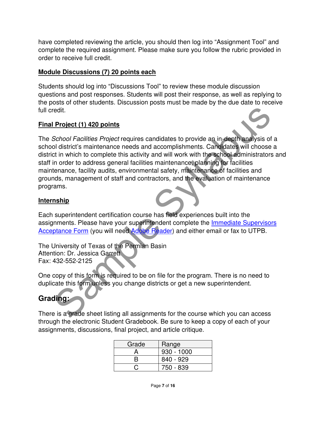have completed reviewing the article, you should then log into "Assignment Tool" and complete the required assignment. Please make sure you follow the rubric provided in order to receive full credit.

#### **Module Discussions (7) 20 points each**

Students should log into "Discussions Tool" to review these module discussion questions and post responses. Students will post their response, as well as replying to the posts of other students. Discussion posts must be made by the due date to receive full credit.

#### **Final Project (1) 420 points**

redit.<br> **Project (1) 420 points**<br>
School Facilities Project requires candidates to provide an in-depth analysis of a<br>
of in which to complete this activity and will work with the school administrators a<br>
tri in which to co The School Facilities Project requires candidates to provide an in-depth analysis of a school district's maintenance needs and accomplishments. Candidates will choose a district in which to complete this activity and will work with the school administrators and staff in order to address general facilities maintenance, planning for facilities maintenance, facility audits, environmental safety, maintenance of facilities and grounds, management of staff and contractors, and the evaluation of maintenance programs.

#### **Internship**

Each superintendent certification course has field experiences built into the assignments. Please have your superintendent complete the Immediate Supervisors Acceptance Form (you will need Adobe Reader) and either email or fax to UTPB.

The University of Texas of the Permian Basin Attention: Dr. Jessica Garrett Fax: 432-552-2125

One copy of this form is required to be on file for the program. There is no need to duplicate this form unless you change districts or get a new superintendent.

## **Grading:**

There is a grade sheet listing all assignments for the course which you can access through the electronic Student Gradebook. Be sure to keep a copy of each of your assignments, discussions, final project, and article critique.

| Grade | Range        |
|-------|--------------|
|       | $930 - 1000$ |
| R     | 840 - 929    |
|       | 750 - 839    |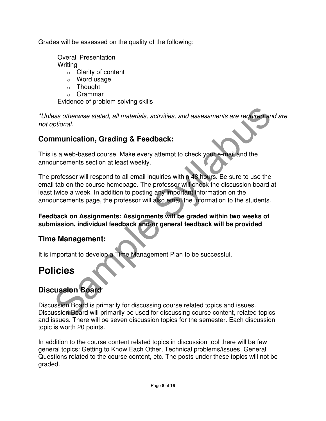Grades will be assessed on the quality of the following:

Overall Presentation **Writing** 

- o Clarity of content
- o Word usage
- o Thought
- o Grammar

Evidence of problem solving skills

\*Unless otherwise stated, all materials, activities, and assessments are required and are not optional.

#### **Communication, Grading & Feedback:**

This is a web-based course. Make every attempt to check your e-mail and the announcements section at least weekly.

Sample System Stated, all materials, activities, and assessments are required and<br>prional.<br>
Sis a web-based course. Make every attempt to check your e-mail and the<br>
sis a web-based course. Make every attempt to check your The professor will respond to all email inquiries within 48 hours. Be sure to use the email tab on the course homepage. The professor will check the discussion board at least twice a week. In addition to posting any important information on the announcements page, the professor will also email the information to the students.

#### **Feedback on Assignments: Assignments will be graded within two weeks of submission, individual feedback and/or general feedback will be provided**

#### **Time Management:**

It is important to develop a Time Management Plan to be successful.

## **Policies**

### **Discussion Board**

Discussion Board is primarily for discussing course related topics and issues. Discussion Board will primarily be used for discussing course content, related topics and issues. There will be seven discussion topics for the semester. Each discussion topic is worth 20 points.

In addition to the course content related topics in discussion tool there will be few general topics: Getting to Know Each Other, Technical problems/issues, General Questions related to the course content, etc. The posts under these topics will not be graded.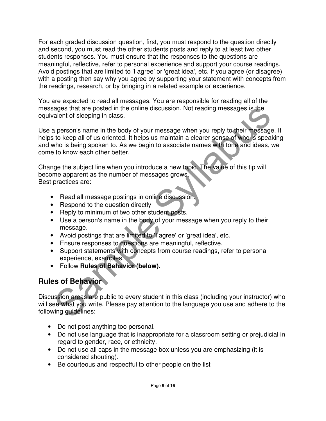For each graded discussion question, first, you must respond to the question directly and second, you must read the other students posts and reply to at least two other students responses. You must ensure that the responses to the questions are meaningful, reflective, refer to personal experience and support your course readings. Avoid postings that are limited to 'I agree' or 'great idea', etc. If you agree (or disagree) with a posting then say why you agree by supporting your statement with concepts from the readings, research, or by bringing in a related example or experience.

You are expected to read all messages. You are responsible for reading all of the messages that are posted in the online discussion. Not reading messages is the equivalent of sleeping in class.

readers that are posted in the online discussion. Not reading messages is the<br>alent of sleeping in class.<br>
a person's name in the body of your message when you reply to their message<br>
to keep all of us oriented. It helps u Use a person's name in the body of your message when you reply to their message. It helps to keep all of us oriented. It helps us maintain a clearer sense of who is speaking and who is being spoken to. As we begin to associate names with tone and ideas, we come to know each other better.

Change the subject line when you introduce a new topic. The value of this tip will become apparent as the number of messages grows. Best practices are:

- Read all message postings in online discussion.
- Respond to the question directly
- Reply to minimum of two other student posts.
- Use a person's name in the body of your message when you reply to their message.
- Avoid postings that are limited to 'I agree' or 'great idea', etc.
- Ensure responses to questions are meaningful, reflective.
- Support statements with concepts from course readings, refer to personal experience, examples.
- Follow **Rules of Behavior (below).**

## **Rules of Behavior**

Discussion areas are public to every student in this class (including your instructor) who will see what you write. Please pay attention to the language you use and adhere to the following guidelines:

- Do not post anything too personal.
- Do not use language that is inappropriate for a classroom setting or prejudicial in regard to gender, race, or ethnicity.
- Do not use all caps in the message box unless you are emphasizing (it is considered shouting).
- Be courteous and respectful to other people on the list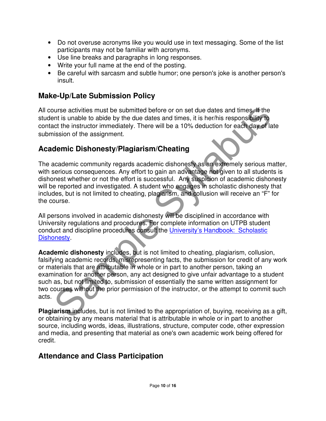- Do not overuse acronyms like you would use in text messaging. Some of the list participants may not be familiar with acronyms.
- Use line breaks and paragraphs in long responses.
- Write your full name at the end of the posting.
- Be careful with sarcasm and subtle humor; one person's joke is another person's insult.

### **Make-Up/Late Submission Policy**

All course activities must be submitted before or on set due dates and times. If the student is unable to abide by the due dates and times, it is her/his responsibility to contact the instructor immediately. There will be a 10% deduction for each day of late submission of the assignment.

### **Academic Dishonesty/Plagiarism/Cheating**

The academic community regards academic dishonesty as an extremely serious matter, with serious consequences. Any effort to gain an advantage not given to all students is dishonest whether or not the effort is successful. Any suspicion of academic dishonesty will be reported and investigated. A student who engages in scholastic dishonesty that includes, but is not limited to cheating, plagiarism, and collusion will receive an "F" for the course.

All persons involved in academic dishonesty will be disciplined in accordance with University regulations and procedures. For complete information on UTPB student conduct and discipline procedures consult the University's Handbook: Scholastic Dishonesty.

ourse activities must be submitted before or on set due dates and times. If the thin this undels to abide by the due takes and times, it is her/his responsibility to the form the surfact term in the syllabused of the assig **Academic dishonesty** includes, but is not limited to cheating, plagiarism, collusion, falsifying academic records, misrepresenting facts, the submission for credit of any work or materials that are attributable in whole or in part to another person, taking an examination for another person, any act designed to give unfair advantage to a student such as, but not limited to, submission of essentially the same written assignment for two courses without the prior permission of the instructor, or the attempt to commit such acts.

**Plagiarism** includes, but is not limited to the appropriation of, buying, receiving as a gift, or obtaining by any means material that is attributable in whole or in part to another source, including words, ideas, illustrations, structure, computer code, other expression and media, and presenting that material as one's own academic work being offered for credit.

### **Attendance and Class Participation**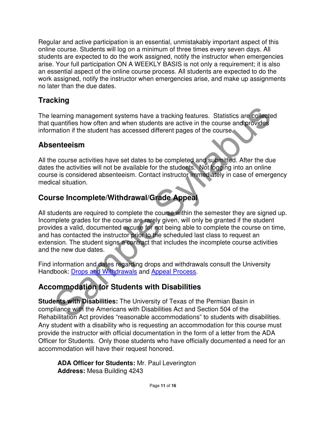Regular and active participation is an essential, unmistakably important aspect of this online course. Students will log on a minimum of three times every seven days. All students are expected to do the work assigned, notify the instructor when emergencies arise. Your full participation ON A WEEKLY BASIS is not only a requirement; it is also an essential aspect of the online course process. All students are expected to do the work assigned, notify the instructor when emergencies arise, and make up assignments no later than the due dates.

## **Tracking**

The learning management systems have a tracking features. Statistics are collected that quantifies how often and when students are active in the course and provides information if the student has accessed different pages of the course.

### **Absenteeism**

All the course activities have set dates to be completed and submitted. After the due dates the activities will not be available for the students. Not logging into an online course is considered absenteeism. Contact instructor immediately in case of emergency medical situation.

### **Course Incomplete/Withdrawal/Grade Appeal**

earning management systems have a tracking features. Statistics are collected<br>quantifies how often and when students are active in the course and provides<br>mation if the student has accessed different pages of the course.<br> All students are required to complete the course within the semester they are signed up. Incomplete grades for the course are rarely given, will only be granted if the student provides a valid, documented excuse for not being able to complete the course on time, and has contacted the instructor prior to the scheduled last class to request an extension. The student signs a contract that includes the incomplete course activities and the new due dates.

Find information and dates regarding drops and withdrawals consult the University Handbook: Drops and Withdrawals and Appeal Process.

## **Accommodation for Students with Disabilities**

**Students with Disabilities:** The University of Texas of the Permian Basin in compliance with the Americans with Disabilities Act and Section 504 of the Rehabilitation Act provides "reasonable accommodations" to students with disabilities. Any student with a disability who is requesting an accommodation for this course must provide the instructor with official documentation in the form of a letter from the ADA Officer for Students. Only those students who have officially documented a need for an accommodation will have their request honored.

**ADA Officer for Students:** Mr. Paul Leverington **Address:** Mesa Building 4243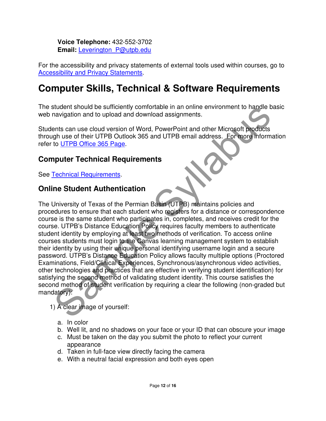**Voice Telephone:** 432-552-3702 **Email:** Leverington\_P@utpb.edu

For the accessibility and privacy statements of external tools used within courses, go to Accessibility and Privacy Statements.

## **Computer Skills, Technical & Software Requirements**

The student should be sufficiently comfortable in an online environment to handle basic web navigation and to upload and download assignments.

Students can use cloud version of Word, PowerPoint and other Microsoft products through use of their UTPB Outlook 365 and UTPB email address. For more information refer to UTPB Office 365 Page.

#### **Computer Technical Requirements**

See Technical Requirements.

#### **Online Student Authentication**

studient should be sultricentity combinable in an online environment to handle base<br>anavigation and to upload and download assignments.<br>The set of their UTPB Outlook 365 and UTPB email address. For thore for thoreases<br>the The University of Texas of the Permian Basin (UTPB) maintains policies and procedures to ensure that each student who registers for a distance or correspondence course is the same student who participates in, completes, and receives credit for the course. UTPB's Distance Education Policy requires faculty members to authenticate student identity by employing at least two methods of verification. To access online courses students must login to the Canvas learning management system to establish their identity by using their unique personal identifying username login and a secure password. UTPB's Distance Education Policy allows faculty multiple options (Proctored Examinations, Field/Clinical Experiences, Synchronous/asynchronous video activities, other technologies and practices that are effective in verifying student identification) for satisfying the second method of validating student identity. This course satisfies the second method of student verification by requiring a clear the following (non-graded but mandatory):

- 1) A clear image of yourself:
	- a. In color
	- b. Well lit, and no shadows on your face or your ID that can obscure your image
	- c. Must be taken on the day you submit the photo to reflect your current appearance
	- d. Taken in full-face view directly facing the camera
	- e. With a neutral facial expression and both eyes open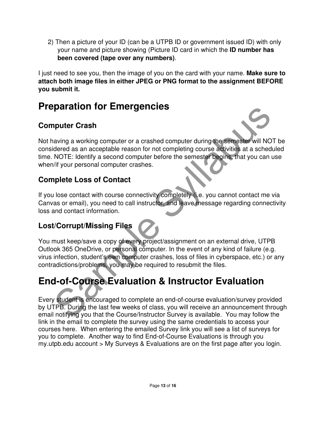2) Then a picture of your ID (can be a UTPB ID or government issued ID) with only your name and picture showing (Picture ID card in which the **ID number has been covered (tape over any numbers)**.

I just need to see you, then the image of you on the card with your name. **Make sure to attach both image files in either JPEG or PNG format to the assignment BEFORE you submit it.**

## **Preparation for Emergencies**

## **Computer Crash**

**paration for Emergencies**<br> **puter Crash**<br> **avoing a working computer or a crashed computer during the semester will NOT<br>
dered as an acceptable reason for not completing course activities at a schedule<br>
NOTE: Identify a s** Not having a working computer or a crashed computer during the semester will NOT be considered as an acceptable reason for not completing course activities at a scheduled time. NOTE: Identify a second computer before the semester begins, that you can use when/if your personal computer crashes.

## **Complete Loss of Contact**

If you lose contact with course connectivity completely (i.e. you cannot contact me via Canvas or email), you need to call instructor, and leave message regarding connectivity loss and contact information.

## **Lost/Corrupt/Missing Files**

You must keep/save a copy of every project/assignment on an external drive, UTPB Outlook 365 OneDrive, or personal computer. In the event of any kind of failure (e.g. virus infection, student's own computer crashes, loss of files in cyberspace, etc.) or any contradictions/problems, you may be required to resubmit the files.

# **End-of-Course Evaluation & Instructor Evaluation**

Every student is encouraged to complete an end-of-course evaluation/survey provided by UTPB. During the last few weeks of class, you will receive an announcement through email notifying you that the Course/Instructor Survey is available. You may follow the link in the email to complete the survey using the same credentials to access your courses here. When entering the emailed Survey link you will see a list of surveys for you to complete. Another way to find End-of-Course Evaluations is through you my.utpb.edu account > My Surveys & Evaluations are on the first page after you login.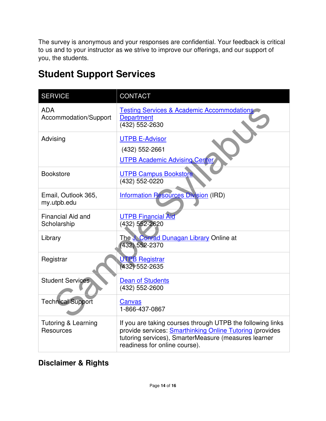The survey is anonymous and your responses are confidential. Your feedback is critical to us and to your instructor as we strive to improve our offerings, and our support of you, the students.

| <b>Student Support Services</b> |  |
|---------------------------------|--|
|---------------------------------|--|

| <b>SERVICE</b>                                     | <b>CONTACT</b>                                                                                                                                                                                                  |
|----------------------------------------------------|-----------------------------------------------------------------------------------------------------------------------------------------------------------------------------------------------------------------|
| <b>ADA</b><br>Accommodation/Support                | <b>Testing Services &amp; Academic Accommodations</b><br><b>Department</b><br>(432) 552-2630                                                                                                                    |
| Advising                                           | <b>UTPB E-Advisor</b><br>(432) 552-2661<br><b>UTPB Academic Advising Center</b>                                                                                                                                 |
| <b>Bookstore</b>                                   | <b>UTPB Campus Bookstore</b><br>(432) 552-0220                                                                                                                                                                  |
| Email, Outlook 365,<br>my.utpb.edu                 | <b>Information Resources Division (IRD)</b>                                                                                                                                                                     |
| <b>Financial Aid and</b><br>Scholarship            | <b>UTPB Financial Aid</b><br>(432) 552-2620                                                                                                                                                                     |
| Library                                            | The J. Conrad Dunagan Library Online at<br>432) 552-2370                                                                                                                                                        |
| Registrar                                          | <b>UTPB Registrar</b><br>(432) 552-2635                                                                                                                                                                         |
| <b>Student Services</b>                            | <b>Dean of Students</b><br>(432) 552-2600                                                                                                                                                                       |
| <b>Technical Support</b>                           | Canvas<br>1-866-437-0867                                                                                                                                                                                        |
| <b>Tutoring &amp; Learning</b><br><b>Resources</b> | If you are taking courses through UTPB the following links<br>provide services: Smarthinking Online Tutoring (provides<br>tutoring services), SmarterMeasure (measures learner<br>readiness for online course). |

### **Disclaimer & Rights**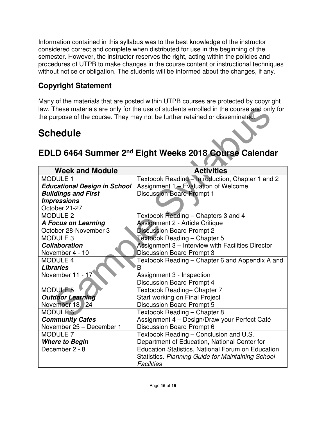Information contained in this syllabus was to the best knowledge of the instructor considered correct and complete when distributed for use in the beginning of the semester. However, the instructor reserves the right, acting within the policies and procedures of UTPB to make changes in the course content or instructional techniques without notice or obligation. The students will be informed about the changes, if any.

## **Copyright Statement**

Many of the materials that are posted within UTPB courses are protected by copyright law. These materials are only for the use of students enrolled in the course and only for the purpose of the course. They may not be further retained or disseminated.

# **Schedule**

## **EDLD 6464 Summer 2nd Eight Weeks 2018 Course Calendar**

| law. These materials are only for the use of students enrolled in the course and only for |                                                                   |  |
|-------------------------------------------------------------------------------------------|-------------------------------------------------------------------|--|
| the purpose of the course. They may not be further retained or disseminated.              |                                                                   |  |
|                                                                                           |                                                                   |  |
| <b>Schedule</b>                                                                           |                                                                   |  |
|                                                                                           |                                                                   |  |
|                                                                                           |                                                                   |  |
|                                                                                           | EDLD 6464 Summer 2 <sup>nd</sup> Eight Weeks 2018 Course Calendar |  |
|                                                                                           |                                                                   |  |
| <b>Week and Module</b>                                                                    | <b>Activities</b>                                                 |  |
| <b>MODULE 1</b>                                                                           | Textbook Reading - Introduction, Chapter 1 and 2                  |  |
| <b>Educational Design in School</b>                                                       | Assignment 1 - Evaluation of Welcome                              |  |
| <b>Buildings and First</b>                                                                | <b>Discussion Board Prompt 1</b>                                  |  |
| <b>Impressions</b>                                                                        |                                                                   |  |
| October 21-27                                                                             |                                                                   |  |
| <b>MODULE 2</b>                                                                           | Textbook Reading - Chapters 3 and 4                               |  |
| <b>A Focus on Learning</b>                                                                | <b>Assignment 2 - Article Critique</b>                            |  |
| October 28-November 3                                                                     | <b>Discussion Board Prompt 2</b>                                  |  |
| <b>MODULE 3</b>                                                                           | Textbook Reading - Chapter 5                                      |  |
| <b>Collaboration</b>                                                                      | Assignment 3 - Interview with Facilities Director                 |  |
| November 4 - 10                                                                           | <b>Discussion Board Prompt 3</b>                                  |  |
| <b>MODULE 4</b>                                                                           | Textbook Reading - Chapter 6 and Appendix A and                   |  |
| <b>Libraries</b>                                                                          | В                                                                 |  |
| November 11 - 17                                                                          | Assignment 3 - Inspection                                         |  |
|                                                                                           | <b>Discussion Board Prompt 4</b>                                  |  |
| <b>MODULE 5</b>                                                                           | Textbook Reading- Chapter 7                                       |  |
| <b>Outdoor Learning</b>                                                                   | Start working on Final Project                                    |  |
| November 18 - 24                                                                          | <b>Discussion Board Prompt 5</b>                                  |  |
| <b>MODULE 6</b>                                                                           | Textbook Reading - Chapter 8                                      |  |
| <b>Community Cafes</b>                                                                    | Assignment 4 - Design/Draw your Perfect Café                      |  |
| November 25 - December 1                                                                  | <b>Discussion Board Prompt 6</b>                                  |  |
| <b>MODULE 7</b>                                                                           | Textbook Reading - Conclusion and U.S.                            |  |
| <b>Where to Begin</b>                                                                     | Department of Education, National Center for                      |  |
| December 2 - 8                                                                            | <b>Education Statistics, National Forum on Education</b>          |  |
|                                                                                           | Statistics. Planning Guide for Maintaining School                 |  |
|                                                                                           | <b>Facilities</b>                                                 |  |